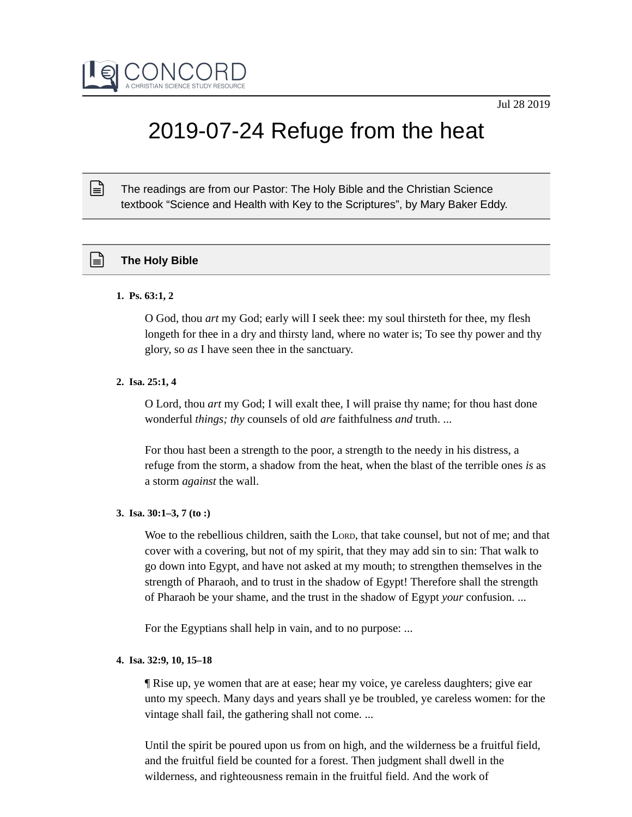

# 2019-07-24 Refuge from the heat

The readings are from our Pastor: The Holy Bible and the Christian Science textbook "Science and Health with Key to the Scriptures", by Mary Baker Eddy.

# **The Holy Bible**

#### **1. Ps. 63:1, 2**

 $\mathbb{R}$ 

O God, thou *art* my God; early will I seek thee: my soul thirsteth for thee, my flesh longeth for thee in a dry and thirsty land, where no water is; To see thy power and thy glory, so *as* I have seen thee in the sanctuary.

#### **2. Isa. 25:1, 4**

O Lord, thou *art* my God; I will exalt thee, I will praise thy name; for thou hast done wonderful *things; thy* counsels of old *are* faithfulness *and* truth. ...

For thou hast been a strength to the poor, a strength to the needy in his distress, a refuge from the storm, a shadow from the heat, when the blast of the terrible ones *is* as a storm *against* the wall.

#### **3. Isa. 30:1–3, 7 (to :)**

Woe to the rebellious children, saith the LORD, that take counsel, but not of me; and that cover with a covering, but not of my spirit, that they may add sin to sin: That walk to go down into Egypt, and have not asked at my mouth; to strengthen themselves in the strength of Pharaoh, and to trust in the shadow of Egypt! Therefore shall the strength of Pharaoh be your shame, and the trust in the shadow of Egypt *your* confusion. ...

For the Egyptians shall help in vain, and to no purpose: ...

## **4. Isa. 32:9, 10, 15–18**

¶ Rise up, ye women that are at ease; hear my voice, ye careless daughters; give ear unto my speech. Many days and years shall ye be troubled, ye careless women: for the vintage shall fail, the gathering shall not come. ...

Until the spirit be poured upon us from on high, and the wilderness be a fruitful field, and the fruitful field be counted for a forest. Then judgment shall dwell in the wilderness, and righteousness remain in the fruitful field. And the work of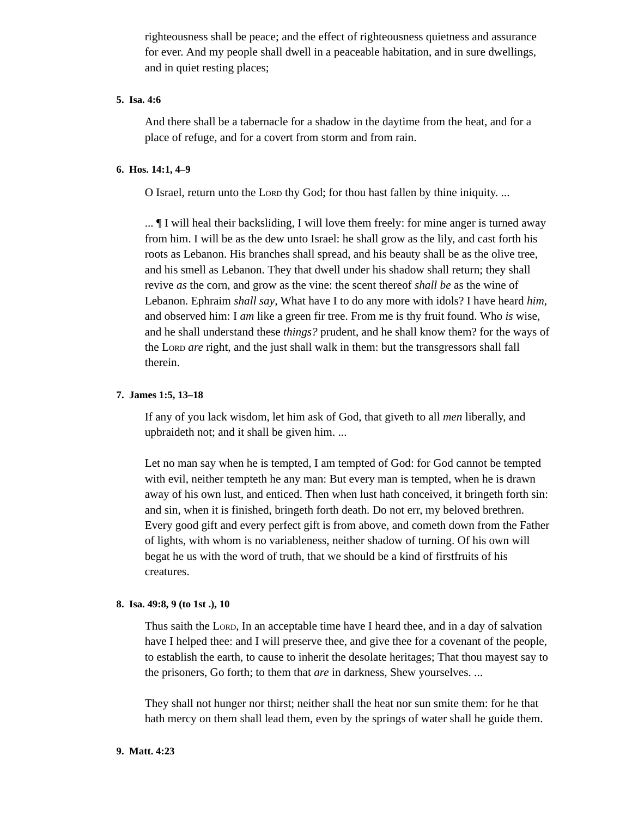righteousness shall be peace; and the effect of righteousness quietness and assurance for ever. And my people shall dwell in a peaceable habitation, and in sure dwellings, and in quiet resting places;

## **5. Isa. 4:6**

And there shall be a tabernacle for a shadow in the daytime from the heat, and for a place of refuge, and for a covert from storm and from rain.

# **6. Hos. 14:1, 4–9**

O Israel, return unto the LORD thy God; for thou hast fallen by thine iniquity. ...

... ¶ I will heal their backsliding, I will love them freely: for mine anger is turned away from him. I will be as the dew unto Israel: he shall grow as the lily, and cast forth his roots as Lebanon. His branches shall spread, and his beauty shall be as the olive tree, and his smell as Lebanon. They that dwell under his shadow shall return; they shall revive *as* the corn, and grow as the vine: the scent thereof *shall be* as the wine of Lebanon. Ephraim *shall say,* What have I to do any more with idols? I have heard *him,* and observed him: I *am* like a green fir tree. From me is thy fruit found. Who *is* wise, and he shall understand these *things?* prudent, and he shall know them? for the ways of the LORD *are* right, and the just shall walk in them: but the transgressors shall fall therein.

## **7. James 1:5, 13–18**

If any of you lack wisdom, let him ask of God, that giveth to all *men* liberally, and upbraideth not; and it shall be given him. ...

Let no man say when he is tempted, I am tempted of God: for God cannot be tempted with evil, neither tempteth he any man: But every man is tempted, when he is drawn away of his own lust, and enticed. Then when lust hath conceived, it bringeth forth sin: and sin, when it is finished, bringeth forth death. Do not err, my beloved brethren. Every good gift and every perfect gift is from above, and cometh down from the Father of lights, with whom is no variableness, neither shadow of turning. Of his own will begat he us with the word of truth, that we should be a kind of firstfruits of his creatures.

#### **8. Isa. 49:8, 9 (to 1st .), 10**

Thus saith the LORD, In an acceptable time have I heard thee, and in a day of salvation have I helped thee: and I will preserve thee, and give thee for a covenant of the people, to establish the earth, to cause to inherit the desolate heritages; That thou mayest say to the prisoners, Go forth; to them that *are* in darkness, Shew yourselves. ...

They shall not hunger nor thirst; neither shall the heat nor sun smite them: for he that hath mercy on them shall lead them, even by the springs of water shall he guide them.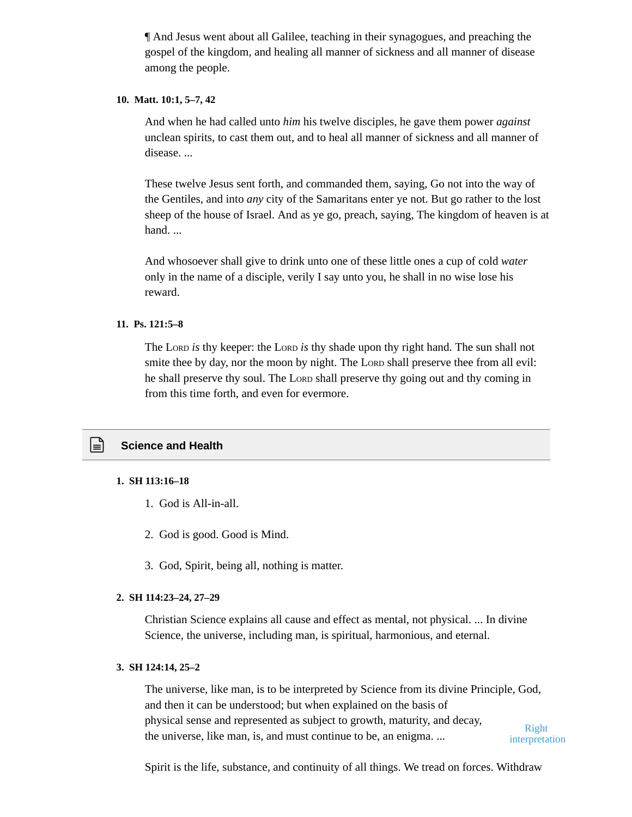¶ And Jesus went about all Galilee, teaching in their synagogues, and preaching the gospel of the kingdom, and healing all manner of sickness and all manner of disease among the people.

## **10. Matt. 10:1, 5–7, 42**

And when he had called unto *him* his twelve disciples, he gave them power *against* unclean spirits, to cast them out, and to heal all manner of sickness and all manner of disease. ...

These twelve Jesus sent forth, and commanded them, saying, Go not into the way of the Gentiles, and into *any* city of the Samaritans enter ye not. But go rather to the lost sheep of the house of Israel. And as ye go, preach, saying, The kingdom of heaven is at hand. ...

And whosoever shall give to drink unto one of these little ones a cup of cold *water* only in the name of a disciple, verily I say unto you, he shall in no wise lose his reward.

# **11. Ps. 121:5–8**

The LORD *is* thy keeper: the LORD *is* thy shade upon thy right hand. The sun shall not smite thee by day, nor the moon by night. The LORD shall preserve thee from all evil: he shall preserve thy soul. The LORD shall preserve thy going out and thy coming in from this time forth, and even for evermore.

# **Science and Health**

#### **1. SH 113:16–18**

- 1. God is All-in-all.
- 2. God is good. Good is Mind.
- 3. God, Spirit, being all, nothing is matter.

#### **2. SH 114:23–24, 27–29**

Christian Science explains all cause and effect as mental, not physical. ... In divine Science, the universe, including man, is spiritual, harmonious, and eternal.

#### **3. SH 124:14, 25–2**

The universe, like man, is to be interpreted by Science from its divine Principle, God, and then it can be understood; but when explained on the basis of physical sense and represented as subject to growth, maturity, and decay, the universe, like man, is, and must continue to be, an enigma. ... Right interpretation

Spirit is the life, substance, and continuity of all things. We tread on forces. Withdraw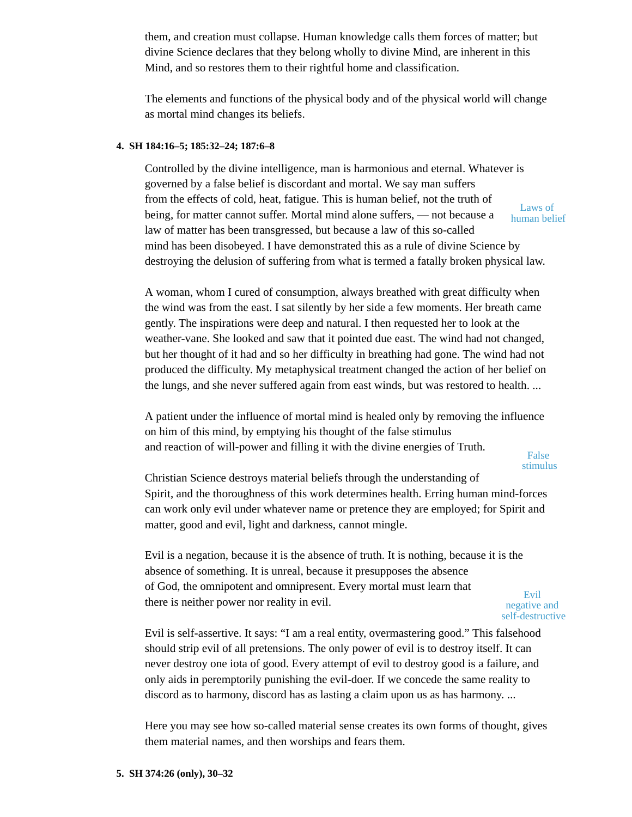them, and creation must collapse. Human knowledge calls them forces of matter; but divine Science declares that they belong wholly to divine Mind, are inherent in this Mind, and so restores them to their rightful home and classification.

The elements and functions of the physical body and of the physical world will change as mortal mind changes its beliefs.

## **4. SH 184:16–5; 185:32–24; 187:6–8**

Controlled by the divine intelligence, man is harmonious and eternal. Whatever is governed by a false belief is discordant and mortal. We say man suffers from the effects of cold, heat, fatigue. This is human belief, not the truth of being, for matter cannot suffer. Mortal mind alone suffers, — not because a law of matter has been transgressed, but because a law of this so-called mind has been disobeyed. I have demonstrated this as a rule of divine Science by destroying the delusion of suffering from what is termed a fatally broken physical law. Laws of human belief

A woman, whom I cured of consumption, always breathed with great difficulty when the wind was from the east. I sat silently by her side a few moments. Her breath came gently. The inspirations were deep and natural. I then requested her to look at the weather-vane. She looked and saw that it pointed due east. The wind had not changed, but her thought of it had and so her difficulty in breathing had gone. The wind had not produced the difficulty. My metaphysical treatment changed the action of her belief on the lungs, and she never suffered again from east winds, but was restored to health. ...

A patient under the influence of mortal mind is healed only by removing the influence on him of this mind, by emptying his thought of the false stimulus and reaction of will-power and filling it with the divine energies of Truth.

False stimulus

Christian Science destroys material beliefs through the understanding of Spirit, and the thoroughness of this work determines health. Erring human mind-forces can work only evil under whatever name or pretence they are employed; for Spirit and matter, good and evil, light and darkness, cannot mingle.

Evil is a negation, because it is the absence of truth. It is nothing, because it is the absence of something. It is unreal, because it presupposes the absence of God, the omnipotent and omnipresent. Every mortal must learn that there is neither power nor reality in evil.

Evil negative and self-destructive

Evil is self-assertive. It says: "I am a real entity, overmastering good." This falsehood should strip evil of all pretensions. The only power of evil is to destroy itself. It can never destroy one iota of good. Every attempt of evil to destroy good is a failure, and only aids in peremptorily punishing the evil-doer. If we concede the same reality to discord as to harmony, discord has as lasting a claim upon us as has harmony. ...

Here you may see how so-called material sense creates its own forms of thought, gives them material names, and then worships and fears them.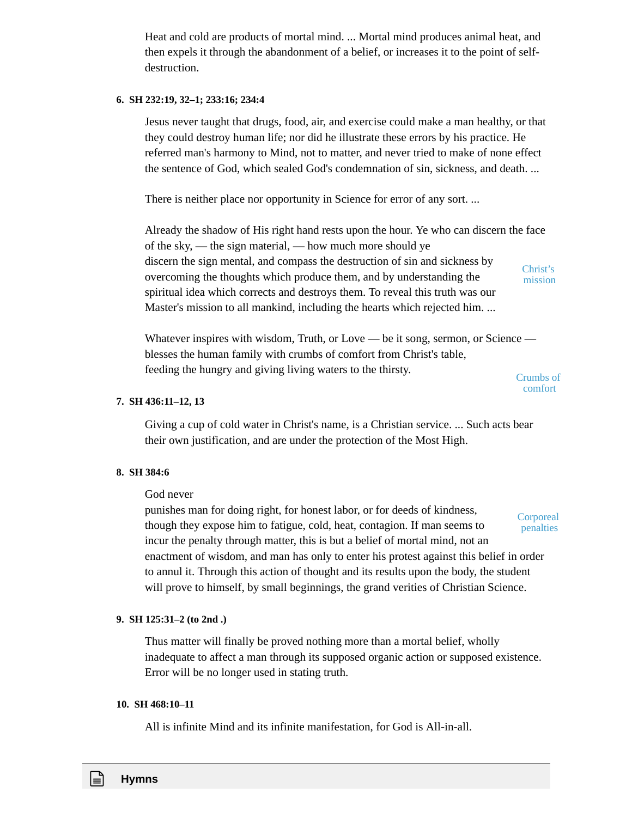Heat and cold are products of mortal mind. ... Mortal mind produces animal heat, and then expels it through the abandonment of a belief, or increases it to the point of selfdestruction.

## **6. SH 232:19, 32–1; 233:16; 234:4**

Jesus never taught that drugs, food, air, and exercise could make a man healthy, or that they could destroy human life; nor did he illustrate these errors by his practice. He referred man's harmony to Mind, not to matter, and never tried to make of none effect the sentence of God, which sealed God's condemnation of sin, sickness, and death. ...

There is neither place nor opportunity in Science for error of any sort. ...

Already the shadow of His right hand rests upon the hour. Ye who can discern the face of the sky, — the sign material, — how much more should ye discern the sign mental, and compass the destruction of sin and sickness by overcoming the thoughts which produce them, and by understanding the spiritual idea which corrects and destroys them. To reveal this truth was our Master's mission to all mankind, including the hearts which rejected him. ... Christ's mission

Whatever inspires with wisdom, Truth, or Love — be it song, sermon, or Science blesses the human family with crumbs of comfort from Christ's table, feeding the hungry and giving living waters to the thirsty.

Crumbs of comfort

#### **7. SH 436:11–12, 13**

Giving a cup of cold water in Christ's name, is a Christian service. ... Such acts bear their own justification, and are under the protection of the Most High.

#### **8. SH 384:6**

#### God never

punishes man for doing right, for honest labor, or for deeds of kindness, though they expose him to fatigue, cold, heat, contagion. If man seems to incur the penalty through matter, this is but a belief of mortal mind, not an enactment of wisdom, and man has only to enter his protest against this belief in order to annul it. Through this action of thought and its results upon the body, the student will prove to himself, by small beginnings, the grand verities of Christian Science. Corporeal penalties

#### **9. SH 125:31–2 (to 2nd .)**

Thus matter will finally be proved nothing more than a mortal belief, wholly inadequate to affect a man through its supposed organic action or supposed existence. Error will be no longer used in stating truth.

#### **10. SH 468:10–11**

All is infinite Mind and its infinite manifestation, for God is All-in-all.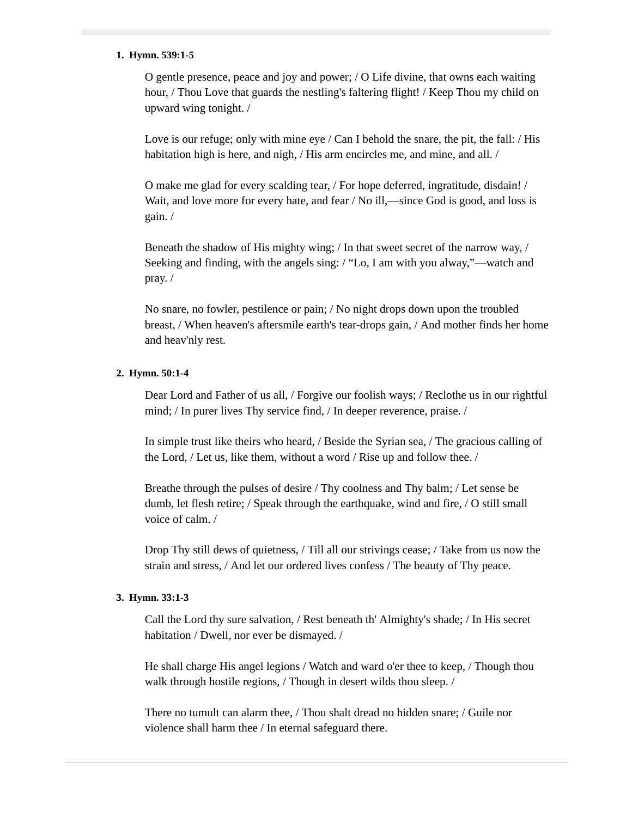#### **1. Hymn. 539:1-5**

O gentle presence, peace and joy and power; / O Life divine, that owns each waiting hour, / Thou Love that guards the nestling's faltering flight! / Keep Thou my child on upward wing tonight. /

Love is our refuge; only with mine eye / Can I behold the snare, the pit, the fall: / His habitation high is here, and nigh, / His arm encircles me, and mine, and all. /

O make me glad for every scalding tear, / For hope deferred, ingratitude, disdain! / Wait, and love more for every hate, and fear / No ill,—since God is good, and loss is gain. /

Beneath the shadow of His mighty wing; / In that sweet secret of the narrow way, / Seeking and finding, with the angels sing: / "Lo, I am with you alway,"—watch and pray. /

No snare, no fowler, pestilence or pain; / No night drops down upon the troubled breast, / When heaven's aftersmile earth's tear-drops gain, / And mother finds her home and heav'nly rest.

## **2. Hymn. 50:1-4**

Dear Lord and Father of us all, / Forgive our foolish ways; / Reclothe us in our rightful mind; / In purer lives Thy service find, / In deeper reverence, praise. /

In simple trust like theirs who heard, / Beside the Syrian sea, / The gracious calling of the Lord, / Let us, like them, without a word / Rise up and follow thee. /

Breathe through the pulses of desire / Thy coolness and Thy balm; / Let sense be dumb, let flesh retire; / Speak through the earthquake, wind and fire, / O still small voice of calm. /

Drop Thy still dews of quietness, / Till all our strivings cease; / Take from us now the strain and stress, / And let our ordered lives confess / The beauty of Thy peace.

## **3. Hymn. 33:1-3**

Call the Lord thy sure salvation, / Rest beneath th' Almighty's shade; / In His secret habitation / Dwell, nor ever be dismayed. /

He shall charge His angel legions / Watch and ward o'er thee to keep, / Though thou walk through hostile regions, / Though in desert wilds thou sleep. /

There no tumult can alarm thee, / Thou shalt dread no hidden snare; / Guile nor violence shall harm thee / In eternal safeguard there.